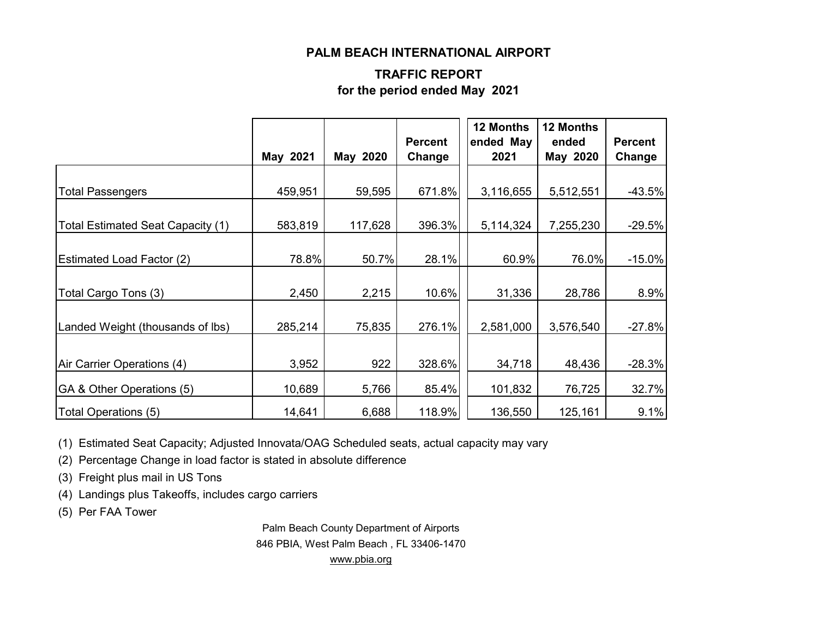#### **PALM BEACH INTERNATIONAL AIRPORT**

#### **TRAFFIC REPORT for the period ended May 2021**

|                                   |          |          | <b>Percent</b> | 12 Months<br>ended May | 12 Months<br>ended | <b>Percent</b> |
|-----------------------------------|----------|----------|----------------|------------------------|--------------------|----------------|
|                                   | May 2021 | May 2020 | Change         | 2021                   | May 2020           | Change         |
| <b>Total Passengers</b>           | 459,951  | 59,595   | 671.8%         | 3,116,655              | 5,512,551          | $-43.5%$       |
| Total Estimated Seat Capacity (1) | 583,819  | 117,628  | 396.3%         | 5,114,324              | 7,255,230          | $-29.5%$       |
| <b>Estimated Load Factor (2)</b>  | 78.8%    | 50.7%    | 28.1%          | 60.9%                  | 76.0%              | $-15.0%$       |
| Total Cargo Tons (3)              | 2,450    | 2,215    | 10.6%          | 31,336                 | 28,786             | 8.9%           |
| Landed Weight (thousands of lbs)  | 285,214  | 75,835   | 276.1%         | 2,581,000              | 3,576,540          | $-27.8%$       |
| Air Carrier Operations (4)        | 3,952    | 922      | 328.6%         | 34,718                 | 48,436             | $-28.3%$       |
| GA & Other Operations (5)         | 10,689   | 5,766    | 85.4%          | 101,832                | 76,725             | 32.7%          |
| Total Operations (5)              | 14,641   | 6,688    | 118.9%         | 136,550                | 125,161            | 9.1%           |

(1) Estimated Seat Capacity; Adjusted Innovata/OAG Scheduled seats, actual capacity may vary

(2) Percentage Change in load factor is stated in absolute difference

(3) Freight plus mail in US Tons

(4) Landings plus Takeoffs, includes cargo carriers

(5) Per FAA Tower

Palm Beach County Department of Airports 846 PBIA, West Palm Beach , FL 33406-1470 [www.pbia.org](http://www.pbia.org/)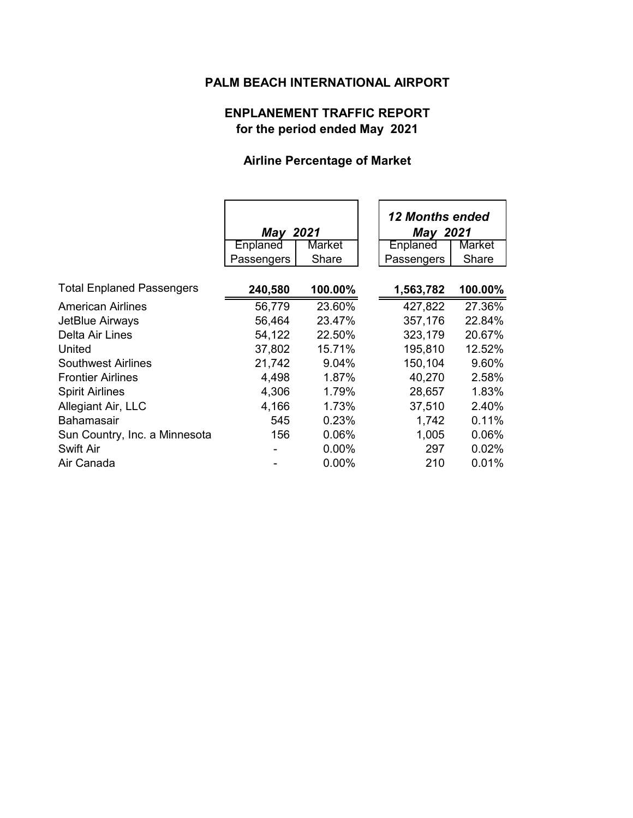# **PALM BEACH INTERNATIONAL AIRPORT**

# **ENPLANEMENT TRAFFIC REPORT for the period ended May 2021**

# **Airline Percentage of Market**

|                                  | May 2021   |          | 12 Months ended<br><b>May 2021</b> |               |
|----------------------------------|------------|----------|------------------------------------|---------------|
|                                  | Enplaned   | Market   | <b>Enplaned</b>                    | <b>Market</b> |
|                                  | Passengers | Share    | Passengers                         | Share         |
|                                  |            |          |                                    |               |
| <b>Total Enplaned Passengers</b> | 240,580    | 100.00%  | 1,563,782                          | 100.00%       |
| <b>American Airlines</b>         | 56,779     | 23.60%   | 427,822                            | 27.36%        |
| JetBlue Airways                  | 56,464     | 23.47%   | 357,176                            | 22.84%        |
| Delta Air Lines                  | 54,122     | 22.50%   | 323,179                            | 20.67%        |
| United                           | 37,802     | 15.71%   | 195,810                            | 12.52%        |
| <b>Southwest Airlines</b>        | 21,742     | 9.04%    | 150,104                            | 9.60%         |
| <b>Frontier Airlines</b>         | 4,498      | 1.87%    | 40,270                             | 2.58%         |
| <b>Spirit Airlines</b>           | 4,306      | 1.79%    | 28,657                             | 1.83%         |
| Allegiant Air, LLC               | 4,166      | 1.73%    | 37,510                             | 2.40%         |
| <b>Bahamasair</b>                | 545        | 0.23%    | 1,742                              | 0.11%         |
| Sun Country, Inc. a Minnesota    | 156        | 0.06%    | 1,005                              | 0.06%         |
| <b>Swift Air</b>                 |            | 0.00%    | 297                                | 0.02%         |
| Air Canada                       |            | $0.00\%$ | 210                                | 0.01%         |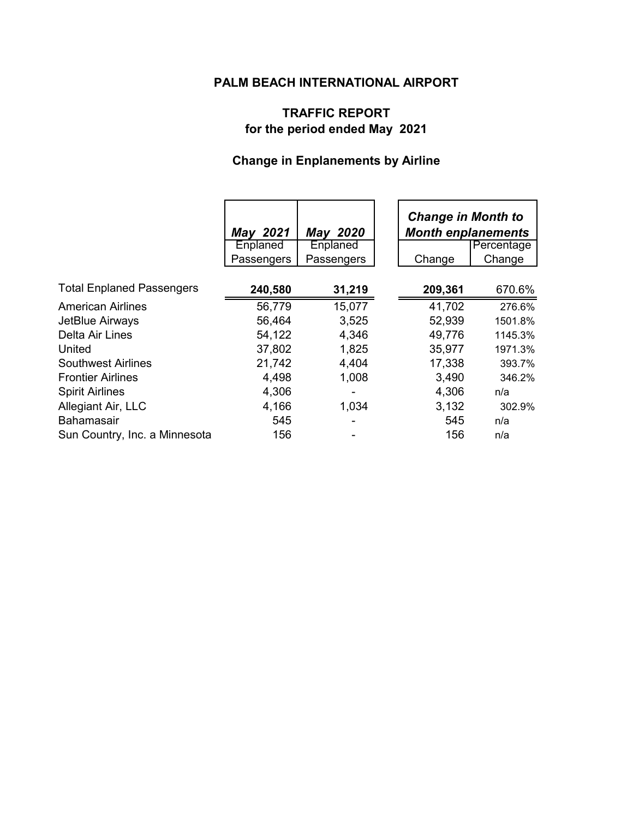## **PALM BEACH INTERNATIONAL AIRPORT**

# **TRAFFIC REPORT for the period ended May 2021**

# **Change in Enplanements by Airline**

|                                  | <b>May 2021</b><br>Enplaned | May 2020<br>Enplaned | <b>Change in Month to</b><br><b>Month enplanements</b> | Percentage |
|----------------------------------|-----------------------------|----------------------|--------------------------------------------------------|------------|
|                                  | Passengers                  | Passengers           | Change                                                 | Change     |
| <b>Total Enplaned Passengers</b> | 240,580                     | 31,219               | 209,361                                                | 670.6%     |
| <b>American Airlines</b>         | 56,779                      | 15,077               | 41,702                                                 | 276.6%     |
| JetBlue Airways                  | 56,464                      | 3,525                | 52,939                                                 | 1501.8%    |
| Delta Air Lines                  | 54,122                      | 4,346                | 49,776                                                 | 1145.3%    |
| United                           | 37,802                      | 1,825                | 35,977                                                 | 1971.3%    |
| <b>Southwest Airlines</b>        | 21,742                      | 4,404                | 17,338                                                 | 393.7%     |
| <b>Frontier Airlines</b>         | 4,498                       | 1,008                | 3,490                                                  | 346.2%     |
| <b>Spirit Airlines</b>           | 4,306                       |                      | 4,306                                                  | n/a        |
| Allegiant Air, LLC               | 4,166                       | 1,034                | 3,132                                                  | 302.9%     |
| <b>Bahamasair</b>                | 545                         |                      | 545                                                    | n/a        |
| Sun Country, Inc. a Minnesota    | 156                         |                      | 156                                                    | n/a        |